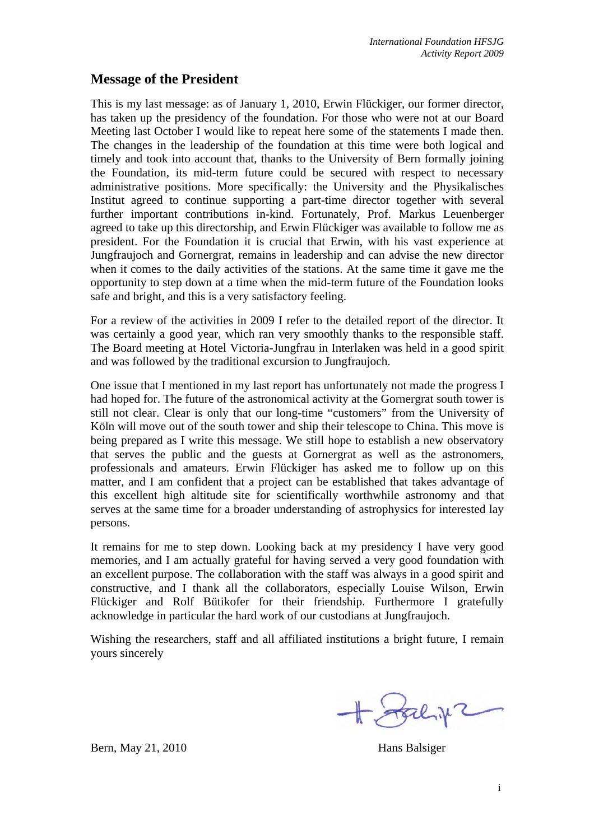## **Message of the President**

This is my last message: as of January 1, 2010, Erwin Flückiger, our former director, has taken up the presidency of the foundation. For those who were not at our Board Meeting last October I would like to repeat here some of the statements I made then. The changes in the leadership of the foundation at this time were both logical and timely and took into account that, thanks to the University of Bern formally joining the Foundation, its mid-term future could be secured with respect to necessary administrative positions. More specifically: the University and the Physikalisches Institut agreed to continue supporting a part-time director together with several further important contributions in-kind. Fortunately, Prof. Markus Leuenberger agreed to take up this directorship, and Erwin Flückiger was available to follow me as president. For the Foundation it is crucial that Erwin, with his vast experience at Jungfraujoch and Gornergrat, remains in leadership and can advise the new director when it comes to the daily activities of the stations. At the same time it gave me the opportunity to step down at a time when the mid-term future of the Foundation looks safe and bright, and this is a very satisfactory feeling.

For a review of the activities in 2009 I refer to the detailed report of the director. It was certainly a good year, which ran very smoothly thanks to the responsible staff. The Board meeting at Hotel Victoria-Jungfrau in Interlaken was held in a good spirit and was followed by the traditional excursion to Jungfraujoch.

One issue that I mentioned in my last report has unfortunately not made the progress I had hoped for. The future of the astronomical activity at the Gornergrat south tower is still not clear. Clear is only that our long-time "customers" from the University of Köln will move out of the south tower and ship their telescope to China. This move is being prepared as I write this message. We still hope to establish a new observatory that serves the public and the guests at Gornergrat as well as the astronomers, professionals and amateurs. Erwin Flückiger has asked me to follow up on this matter, and I am confident that a project can be established that takes advantage of this excellent high altitude site for scientifically worthwhile astronomy and that serves at the same time for a broader understanding of astrophysics for interested lay persons.

It remains for me to step down. Looking back at my presidency I have very good memories, and I am actually grateful for having served a very good foundation with an excellent purpose. The collaboration with the staff was always in a good spirit and constructive, and I thank all the collaborators, especially Louise Wilson, Erwin Flückiger and Rolf Bütikofer for their friendship. Furthermore I gratefully acknowledge in particular the hard work of our custodians at Jungfraujoch.

Wishing the researchers, staff and all affiliated institutions a bright future, I remain yours sincerely

H Stalin2

Bern, May 21, 2010 Hans Balsiger